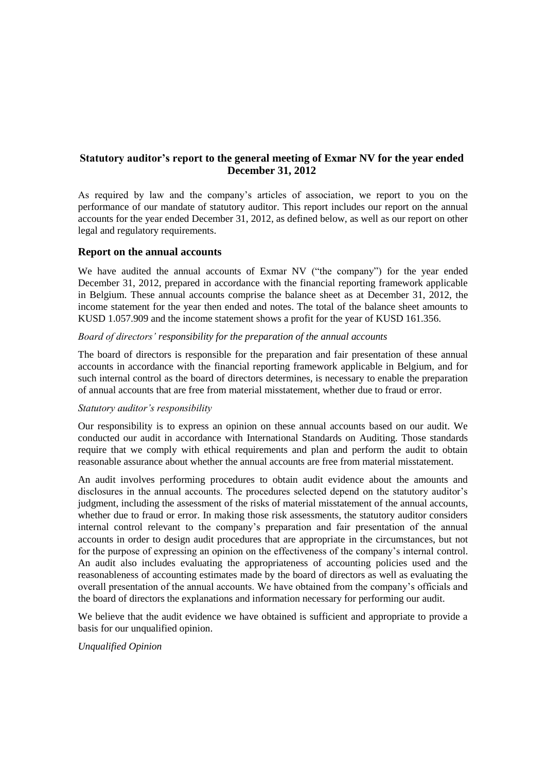# **Statutory auditor's report to the general meeting of Exmar NV for the year ended December 31, 2012**

As required by law and the company's articles of association, we report to you on the performance of our mandate of statutory auditor. This report includes our report on the annual accounts for the year ended December 31, 2012, as defined below, as well as our report on other legal and regulatory requirements.

### **Report on the annual accounts**

We have audited the annual accounts of Exmar NV ("the company") for the year ended December 31, 2012, prepared in accordance with the financial reporting framework applicable in Belgium. These annual accounts comprise the balance sheet as at December 31, 2012, the income statement for the year then ended and notes. The total of the balance sheet amounts to KUSD 1.057.909 and the income statement shows a profit for the year of KUSD 161.356.

### *Board of directors' responsibility for the preparation of the annual accounts*

The board of directors is responsible for the preparation and fair presentation of these annual accounts in accordance with the financial reporting framework applicable in Belgium, and for such internal control as the board of directors determines, is necessary to enable the preparation of annual accounts that are free from material misstatement, whether due to fraud or error.

#### *Statutory auditor's responsibility*

Our responsibility is to express an opinion on these annual accounts based on our audit. We conducted our audit in accordance with International Standards on Auditing. Those standards require that we comply with ethical requirements and plan and perform the audit to obtain reasonable assurance about whether the annual accounts are free from material misstatement.

An audit involves performing procedures to obtain audit evidence about the amounts and disclosures in the annual accounts. The procedures selected depend on the statutory auditor's judgment, including the assessment of the risks of material misstatement of the annual accounts, whether due to fraud or error. In making those risk assessments, the statutory auditor considers internal control relevant to the company's preparation and fair presentation of the annual accounts in order to design audit procedures that are appropriate in the circumstances, but not for the purpose of expressing an opinion on the effectiveness of the company's internal control. An audit also includes evaluating the appropriateness of accounting policies used and the reasonableness of accounting estimates made by the board of directors as well as evaluating the overall presentation of the annual accounts. We have obtained from the company's officials and the board of directors the explanations and information necessary for performing our audit.

We believe that the audit evidence we have obtained is sufficient and appropriate to provide a basis for our unqualified opinion.

## *Unqualified Opinion*